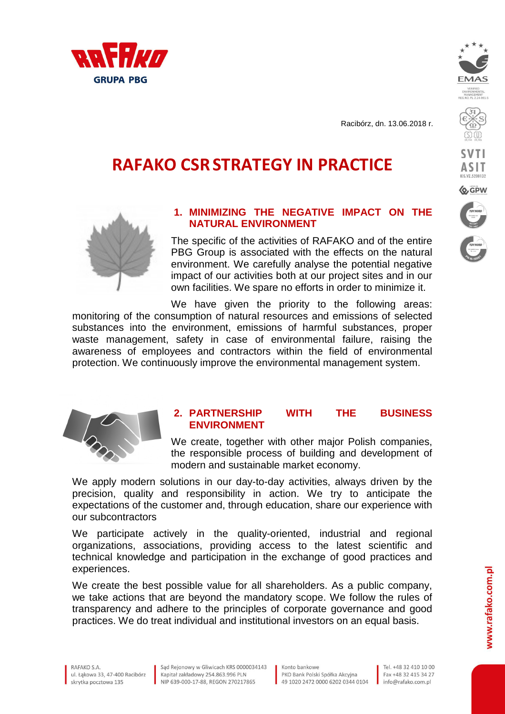



**ASIT** 

**EXA** GPW

Racibórz, dn. 13.06.2018 r.

# **RAFAKO CSRSTRATEGY IN PRACTICE**



# **1. MINIMIZING THE NEGATIVE IMPACT ON THE NATURAL ENVIRONMENT**

The specific of the activities of RAFAKO and of the entire PBG Group is associated with the effects on the natural environment. We carefully analyse the potential negative impact of our activities both at our project sites and in our own facilities. We spare no efforts in order to minimize it.

We have given the priority to the following areas: monitoring of the consumption of natural resources and emissions of selected substances into the environment, emissions of harmful substances, proper waste management, safety in case of environmental failure, raising the awareness of employees and contractors within the field of environmental protection. We continuously improve the environmental management system.



#### **2. PARTNERSHIP WITH THE BUSINESS ENVIRONMENT**

We create, together with other major Polish companies, the responsible process of building and development of modern and sustainable market economy.

We apply modern solutions in our day-to-day activities, always driven by the precision, quality and responsibility in action. We try to anticipate the expectations of the customer and, through education, share our experience with our subcontractors

We participate actively in the quality-oriented, industrial and regional organizations, associations, providing access to the latest scientific and technical knowledge and participation in the exchange of good practices and experiences.

We create the best possible value for all shareholders. As a public company, we take actions that are beyond the mandatory scope. We follow the rules of transparency and adhere to the principles of corporate governance and good practices. We do treat individual and institutional investors on an equal basis.

Sad Reionowy w Gliwicach KRS 0000034143 Kapitał zakładowy 254.863.996 PLN NIP 639-000-17-88, REGON 270217865